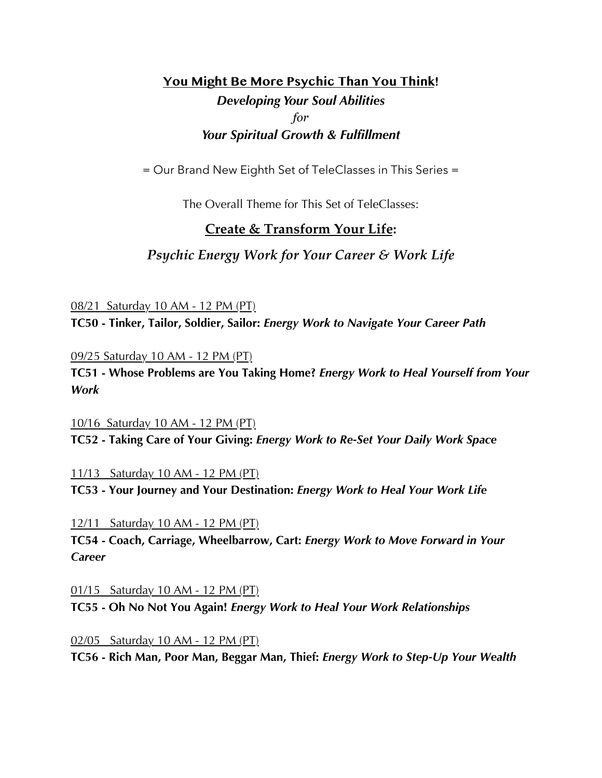# **You Might Be More Psychic Than You Think!** *Developing Your Soul Abilities for Your Spiritual Growth & Fulfillment*

= Our Brand New Eighth Set of TeleClasses in This Series =

The Overall Theme for This Set of TeleClasses:

## **Create & Transform Your Life:**

*Psychic Energy Work for Your Career & Work Life*

08/21 Saturday 10 AM - 12 PM (PT) **TC50 - Tinker, Tailor, Soldier, Sailor:** *Energy Work to Navigate Your Career Path*

09/25 Saturday 10 AM - 12 PM (PT)

**TC51 - Whose Problems are You Taking Home?** *Energy Work to Heal Yourself from Your Work*

10/16 Saturday 10 AM - 12 PM (PT) **TC52 - Taking Care of Your Giving:** *Energy Work to Re-Set Your Daily Work Space*

11/13 Saturday 10 AM - 12 PM (PT)

**TC53 - Your Journey and Your Destination:** *Energy Work to Heal Your Work Life*

12/11 Saturday 10 AM - 12 PM (PT)

**TC54 - Coach, Carriage, Wheelbarrow, Cart:** *Energy Work to Move Forward in Your Career*

01/15 Saturday 10 AM - 12 PM (PT) **TC55 - Oh No Not You Again!** *Energy Work to Heal Your Work Relationships*

02/05 Saturday 10 AM - 12 PM (PT) **TC56 - Rich Man, Poor Man, Beggar Man, Thief:** *Energy Work to Step-Up Your Wealth*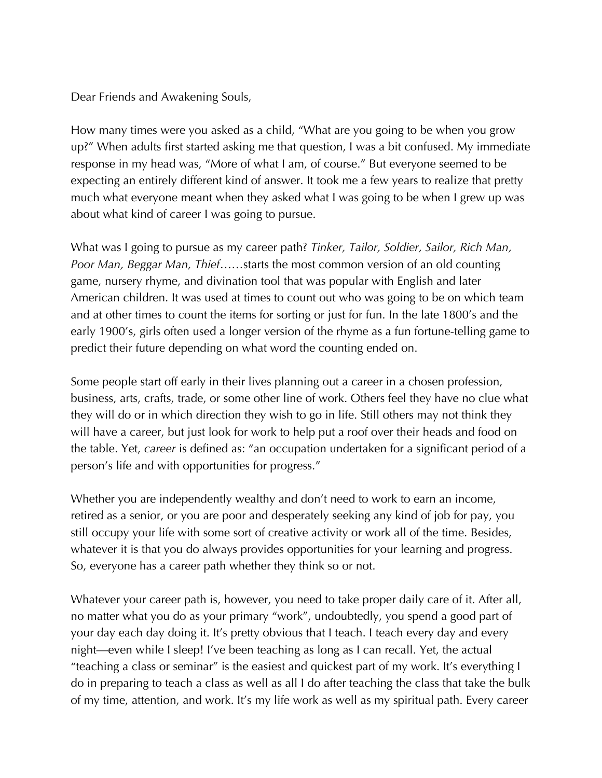Dear Friends and Awakening Souls,

How many times were you asked as a child, "What are you going to be when you grow up?" When adults first started asking me that question, I was a bit confused. My immediate response in my head was, "More of what I am, of course." But everyone seemed to be expecting an entirely different kind of answer. It took me a few years to realize that pretty much what everyone meant when they asked what I was going to be when I grew up was about what kind of career I was going to pursue.

What was I going to pursue as my career path? *Tinker, Tailor, Soldier, Sailor, Rich Man, Poor Man, Beggar Man, Thief*……starts the most common version of an old counting game, nursery rhyme, and divination tool that was popular with English and later American children. It was used at times to count out who was going to be on which team and at other times to count the items for sorting or just for fun. In the late 1800's and the early 1900's, girls often used a longer version of the rhyme as a fun fortune-telling game to predict their future depending on what word the counting ended on.

Some people start off early in their lives planning out a career in a chosen profession, business, arts, crafts, trade, or some other line of work. Others feel they have no clue what they will do or in which direction they wish to go in life. Still others may not think they will have a career, but just look for work to help put a roof over their heads and food on the table. Yet, *career* is defined as: "an occupation undertaken for a significant period of a person's life and with opportunities for progress."

Whether you are independently wealthy and don't need to work to earn an income, retired as a senior, or you are poor and desperately seeking any kind of job for pay, you still occupy your life with some sort of creative activity or work all of the time. Besides, whatever it is that you do always provides opportunities for your learning and progress. So, everyone has a career path whether they think so or not.

Whatever your career path is, however, you need to take proper daily care of it. After all, no matter what you do as your primary "work", undoubtedly, you spend a good part of your day each day doing it. It's pretty obvious that I teach. I teach every day and every night—even while I sleep! I've been teaching as long as I can recall. Yet, the actual "teaching a class or seminar" is the easiest and quickest part of my work. It's everything I do in preparing to teach a class as well as all I do after teaching the class that take the bulk of my time, attention, and work. It's my life work as well as my spiritual path. Every career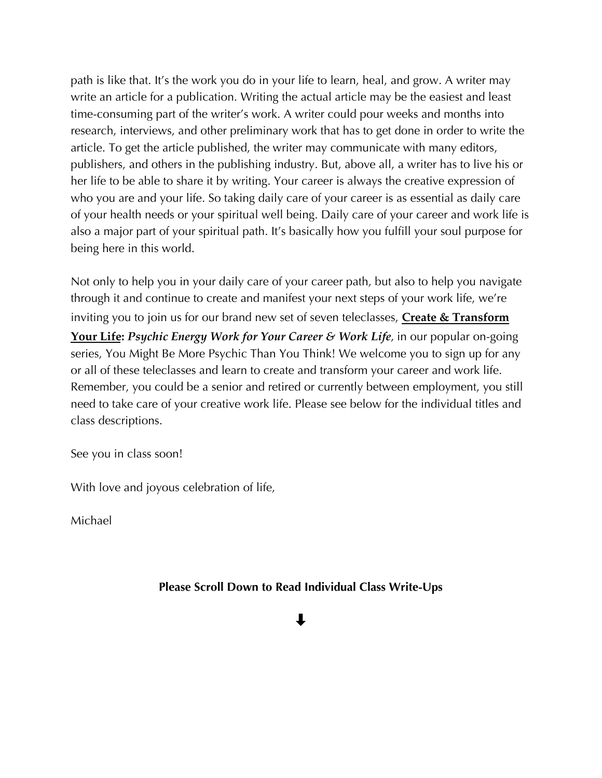path is like that. It's the work you do in your life to learn, heal, and grow. A writer may write an article for a publication. Writing the actual article may be the easiest and least time-consuming part of the writer's work. A writer could pour weeks and months into research, interviews, and other preliminary work that has to get done in order to write the article. To get the article published, the writer may communicate with many editors, publishers, and others in the publishing industry. But, above all, a writer has to live his or her life to be able to share it by writing. Your career is always the creative expression of who you are and your life. So taking daily care of your career is as essential as daily care of your health needs or your spiritual well being. Daily care of your career and work life is also a major part of your spiritual path. It's basically how you fulfill your soul purpose for being here in this world.

Not only to help you in your daily care of your career path, but also to help you navigate through it and continue to create and manifest your next steps of your work life, we're inviting you to join us for our brand new set of seven teleclasses, **Create & Transform Your Life:** *Psychic Energy Work for Your Career & Work Life,* in our popular on-going series, You Might Be More Psychic Than You Think! We welcome you to sign up for any or all of these teleclasses and learn to create and transform your career and work life. Remember, you could be a senior and retired or currently between employment, you still need to take care of your creative work life. Please see below for the individual titles and class descriptions.

See you in class soon!

With love and joyous celebration of life,

Michael

**Please Scroll Down to Read Individual Class Write-Ups**

# ⇩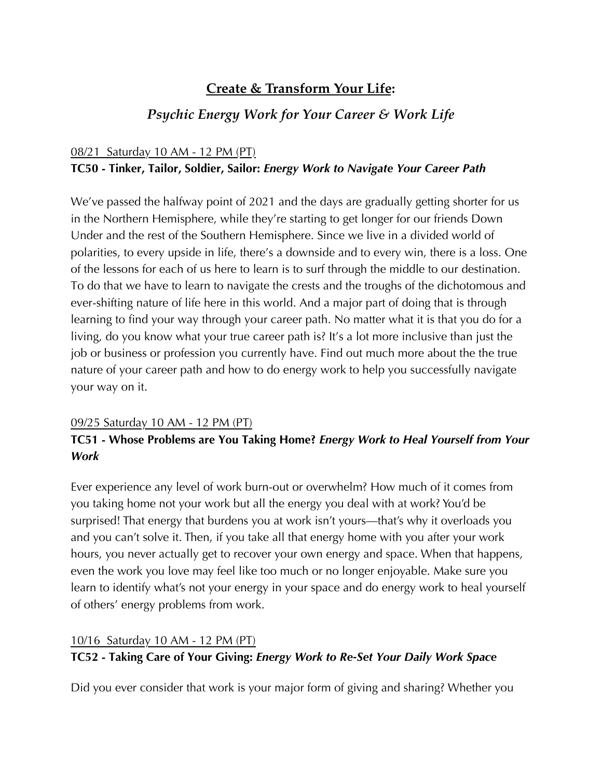# **Create & Transform Your Life:**

# *Psychic Energy Work for Your Career & Work Life*

#### 08/21 Saturday 10 AM - 12 PM (PT)

#### **TC50 - Tinker, Tailor, Soldier, Sailor:** *Energy Work to Navigate Your Career Path*

We've passed the halfway point of 2021 and the days are gradually getting shorter for us in the Northern Hemisphere, while they're starting to get longer for our friends Down Under and the rest of the Southern Hemisphere. Since we live in a divided world of polarities, to every upside in life, there's a downside and to every win, there is a loss. One of the lessons for each of us here to learn is to surf through the middle to our destination. To do that we have to learn to navigate the crests and the troughs of the dichotomous and ever-shifting nature of life here in this world. And a major part of doing that is through learning to find your way through your career path. No matter what it is that you do for a living, do you know what your true career path is? It's a lot more inclusive than just the job or business or profession you currently have. Find out much more about the the true nature of your career path and how to do energy work to help you successfully navigate your way on it.

#### 09/25 Saturday 10 AM - 12 PM (PT)

## **TC51 - Whose Problems are You Taking Home?** *Energy Work to Heal Yourself from Your Work*

Ever experience any level of work burn-out or overwhelm? How much of it comes from you taking home not your work but all the energy you deal with at work? You'd be surprised! That energy that burdens you at work isn't yours—that's why it overloads you and you can't solve it. Then, if you take all that energy home with you after your work hours, you never actually get to recover your own energy and space. When that happens, even the work you love may feel like too much or no longer enjoyable. Make sure you learn to identify what's not your energy in your space and do energy work to heal yourself of others' energy problems from work.

#### 10/16 Saturday 10 AM - 12 PM (PT)

### **TC52 - Taking Care of Your Giving:** *Energy Work to Re-Set Your Daily Work Space*

Did you ever consider that work is your major form of giving and sharing? Whether you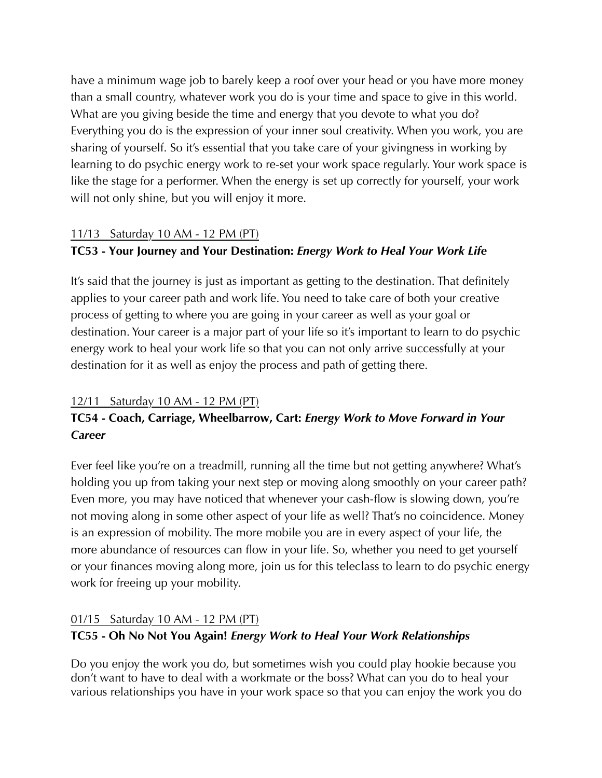have a minimum wage job to barely keep a roof over your head or you have more money than a small country, whatever work you do is your time and space to give in this world. What are you giving beside the time and energy that you devote to what you do? Everything you do is the expression of your inner soul creativity. When you work, you are sharing of yourself. So it's essential that you take care of your givingness in working by learning to do psychic energy work to re-set your work space regularly. Your work space is like the stage for a performer. When the energy is set up correctly for yourself, your work will not only shine, but you will enjoy it more.

## 11/13 Saturday 10 AM - 12 PM (PT)

## **TC53 - Your Journey and Your Destination:** *Energy Work to Heal Your Work Life*

It's said that the journey is just as important as getting to the destination. That definitely applies to your career path and work life. You need to take care of both your creative process of getting to where you are going in your career as well as your goal or destination. Your career is a major part of your life so it's important to learn to do psychic energy work to heal your work life so that you can not only arrive successfully at your destination for it as well as enjoy the process and path of getting there.

## 12/11 Saturday 10 AM - 12 PM (PT)

## **TC54 - Coach, Carriage, Wheelbarrow, Cart:** *Energy Work to Move Forward in Your Career*

Ever feel like you're on a treadmill, running all the time but not getting anywhere? What's holding you up from taking your next step or moving along smoothly on your career path? Even more, you may have noticed that whenever your cash-flow is slowing down, you're not moving along in some other aspect of your life as well? That's no coincidence. Money is an expression of mobility. The more mobile you are in every aspect of your life, the more abundance of resources can flow in your life. So, whether you need to get yourself or your finances moving along more, join us for this teleclass to learn to do psychic energy work for freeing up your mobility.

## 01/15 Saturday 10 AM - 12 PM (PT)

## **TC55 - Oh No Not You Again!** *Energy Work to Heal Your Work Relationships*

Do you enjoy the work you do, but sometimes wish you could play hookie because you don't want to have to deal with a workmate or the boss? What can you do to heal your various relationships you have in your work space so that you can enjoy the work you do